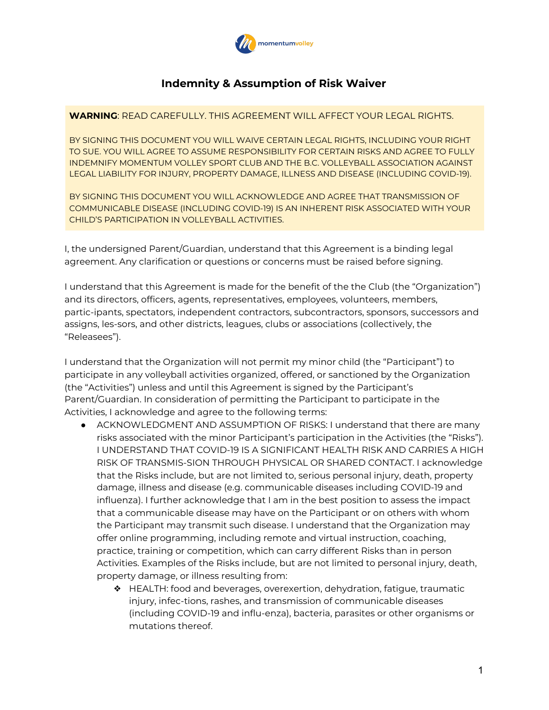

## **Indemnity & Assumption of Risk Waiver**

**WARNING**: READ CAREFULLY. THIS AGREEMENT WILL AFFECT YOUR LEGAL RIGHTS.

BY SIGNING THIS DOCUMENT YOU WILL WAIVE CERTAIN LEGAL RIGHTS, INCLUDING YOUR RIGHT TO SUE. YOU WILL AGREE TO ASSUME RESPONSIBILITY FOR CERTAIN RISKS AND AGREE TO FULLY INDEMNIFY MOMENTUM VOLLEY SPORT CLUB AND THE B.C. VOLLEYBALL ASSOCIATION AGAINST LEGAL LIABILITY FOR INJURY, PROPERTY DAMAGE, ILLNESS AND DISEASE (INCLUDING COVID-19).

BY SIGNING THIS DOCUMENT YOU WILL ACKNOWLEDGE AND AGREE THAT TRANSMISSION OF COMMUNICABLE DISEASE (INCLUDING COVID-19) IS AN INHERENT RISK ASSOCIATED WITH YOUR CHILD'S PARTICIPATION IN VOLLEYBALL ACTIVITIES.

I, the undersigned Parent/Guardian, understand that this Agreement is a binding legal agreement. Any clarification or questions or concerns must be raised before signing.

I understand that this Agreement is made for the benefit of the the Club (the "Organization") and its directors, officers, agents, representatives, employees, volunteers, members, partic-ipants, spectators, independent contractors, subcontractors, sponsors, successors and assigns, les-sors, and other districts, leagues, clubs or associations (collectively, the "Releasees").

I understand that the Organization will not permit my minor child (the "Participant") to participate in any volleyball activities organized, offered, or sanctioned by the Organization (the "Activities") unless and until this Agreement is signed by the Participant's Parent/Guardian. In consideration of permitting the Participant to participate in the Activities, I acknowledge and agree to the following terms:

- ACKNOWLEDGMENT AND ASSUMPTION OF RISKS: I understand that there are many risks associated with the minor Participant's participation in the Activities (the "Risks"). I UNDERSTAND THAT COVID-19 IS A SIGNIFICANT HEALTH RISK AND CARRIES A HIGH RISK OF TRANSMIS-SION THROUGH PHYSICAL OR SHARED CONTACT. I acknowledge that the Risks include, but are not limited to, serious personal injury, death, property damage, illness and disease (e.g. communicable diseases including COVID-19 and influenza). I further acknowledge that I am in the best position to assess the impact that a communicable disease may have on the Participant or on others with whom the Participant may transmit such disease. I understand that the Organization may offer online programming, including remote and virtual instruction, coaching, practice, training or competition, which can carry different Risks than in person Activities. Examples of the Risks include, but are not limited to personal injury, death, property damage, or illness resulting from:
	- ❖ HEALTH: food and beverages, overexertion, dehydration, fatigue, traumatic injury, infec-tions, rashes, and transmission of communicable diseases (including COVID-19 and influ-enza), bacteria, parasites or other organisms or mutations thereof.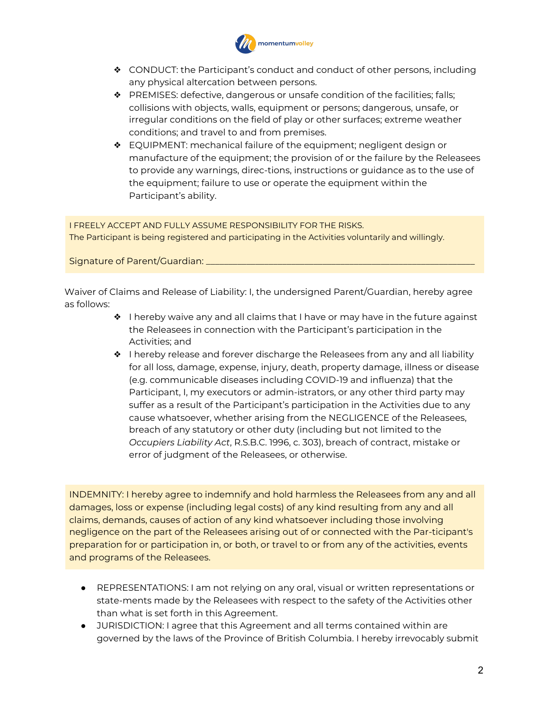

- ❖ CONDUCT: the Participant's conduct and conduct of other persons, including any physical altercation between persons.
- ❖ PREMISES: defective, dangerous or unsafe condition of the facilities; falls; collisions with objects, walls, equipment or persons; dangerous, unsafe, or irregular conditions on the field of play or other surfaces; extreme weather conditions; and travel to and from premises.
- ❖ EQUIPMENT: mechanical failure of the equipment; negligent design or manufacture of the equipment; the provision of or the failure by the Releasees to provide any warnings, direc-tions, instructions or guidance as to the use of the equipment; failure to use or operate the equipment within the Participant's ability.

I FREELY ACCEPT AND FULLY ASSUME RESPONSIBILITY FOR THE RISKS. The Participant is being registered and participating in the Activities voluntarily and willingly.

Signature of Parent/Guardian: \_

Waiver of Claims and Release of Liability: I, the undersigned Parent/Guardian, hereby agree as follows:

- ❖ I hereby waive any and all claims that I have or may have in the future against the Releasees in connection with the Participant's participation in the Activities; and
- ❖ I hereby release and forever discharge the Releasees from any and all liability for all loss, damage, expense, injury, death, property damage, illness or disease (e.g. communicable diseases including COVID-19 and influenza) that the Participant, I, my executors or admin-istrators, or any other third party may suffer as a result of the Participant's participation in the Activities due to any cause whatsoever, whether arising from the NEGLIGENCE of the Releasees, breach of any statutory or other duty (including but not limited to the *Occupiers Liability Act*, R.S.B.C. 1996, c. 303), breach of contract, mistake or error of judgment of the Releasees, or otherwise.

INDEMNITY: I hereby agree to indemnify and hold harmless the Releasees from any and all damages, loss or expense (including legal costs) of any kind resulting from any and all claims, demands, causes of action of any kind whatsoever including those involving negligence on the part of the Releasees arising out of or connected with the Par-ticipant's preparation for or participation in, or both, or travel to or from any of the activities, events and programs of the Releasees.

- REPRESENTATIONS: I am not relying on any oral, visual or written representations or state-ments made by the Releasees with respect to the safety of the Activities other than what is set forth in this Agreement.
- JURISDICTION: I agree that this Agreement and all terms contained within are governed by the laws of the Province of British Columbia. I hereby irrevocably submit